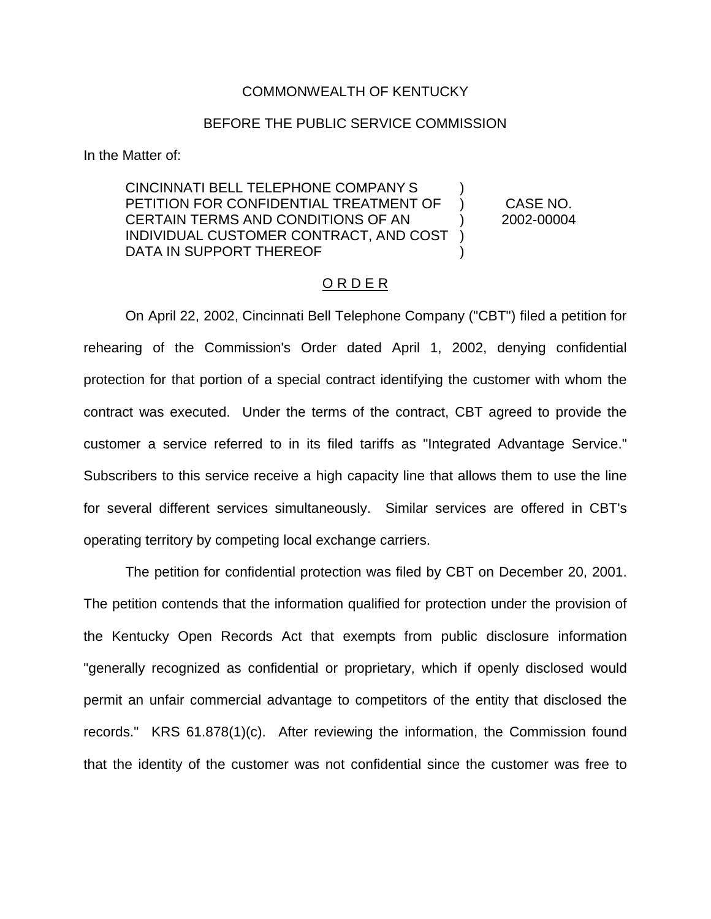#### COMMONWEALTH OF KENTUCKY

# BEFORE THE PUBLIC SERVICE COMMISSION

In the Matter of:

CINCINNATI BELL TELEPHONE COMPANY S ) PETITION FOR CONFIDENTIAL TREATMENT OF ) CASE NO. CERTAIN TERMS AND CONDITIONS OF AN ) 2002-00004 INDIVIDUAL CUSTOMER CONTRACT, AND COST ) DATA IN SUPPORT THEREOF

# ORDER

On April 22, 2002, Cincinnati Bell Telephone Company ("CBT") filed a petition for rehearing of the Commission's Order dated April 1, 2002, denying confidential protection for that portion of a special contract identifying the customer with whom the contract was executed. Under the terms of the contract, CBT agreed to provide the customer a service referred to in its filed tariffs as "Integrated Advantage Service." Subscribers to this service receive a high capacity line that allows them to use the line for several different services simultaneously. Similar services are offered in CBT's operating territory by competing local exchange carriers.

The petition for confidential protection was filed by CBT on December 20, 2001. The petition contends that the information qualified for protection under the provision of the Kentucky Open Records Act that exempts from public disclosure information "generally recognized as confidential or proprietary, which if openly disclosed would permit an unfair commercial advantage to competitors of the entity that disclosed the records." KRS 61.878(1)(c). After reviewing the information, the Commission found that the identity of the customer was not confidential since the customer was free to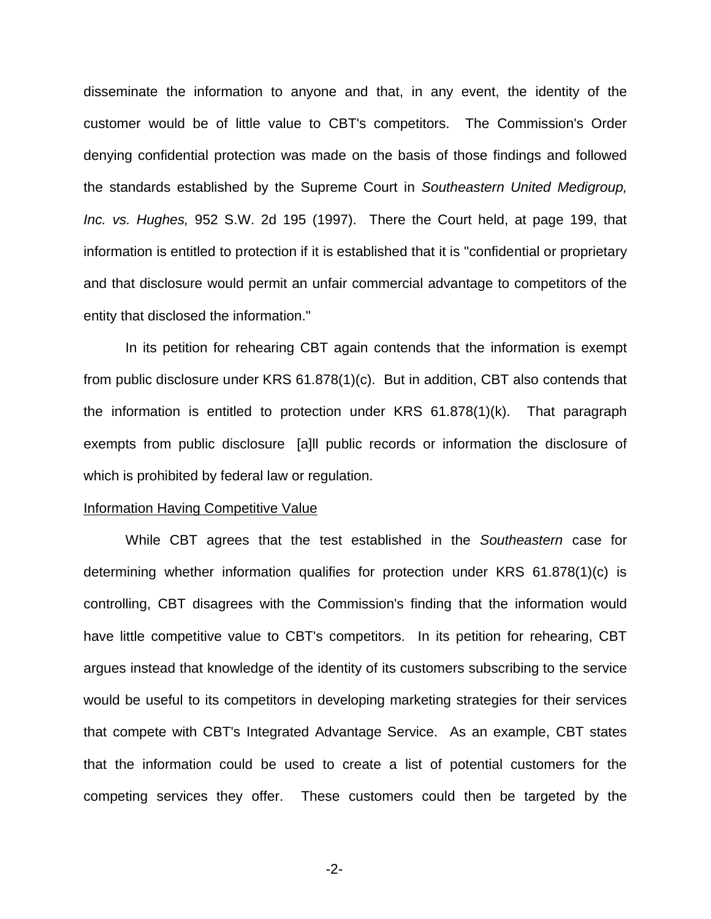disseminate the information to anyone and that, in any event, the identity of the customer would be of little value to CBT's competitors. The Commission's Order denying confidential protection was made on the basis of those findings and followed the standards established by the Supreme Court in *Southeastern United Medigroup, Inc. vs. Hughes,* 952 S.W. 2d 195 (1997). There the Court held, at page 199, that information is entitled to protection if it is established that it is "confidential or proprietary and that disclosure would permit an unfair commercial advantage to competitors of the entity that disclosed the information."

In its petition for rehearing CBT again contends that the information is exempt from public disclosure under KRS 61.878(1)(c). But in addition, CBT also contends that the information is entitled to protection under KRS 61.878(1)(k). That paragraph exempts from public disclosure [a]ll public records or information the disclosure of which is prohibited by federal law or regulation.

#### Information Having Competitive Value

While CBT agrees that the test established in the *Southeastern* case for determining whether information qualifies for protection under KRS 61.878(1)(c) is controlling, CBT disagrees with the Commission's finding that the information would have little competitive value to CBT's competitors. In its petition for rehearing, CBT argues instead that knowledge of the identity of its customers subscribing to the service would be useful to its competitors in developing marketing strategies for their services that compete with CBT's Integrated Advantage Service. As an example, CBT states that the information could be used to create a list of potential customers for the competing services they offer. These customers could then be targeted by the

-2-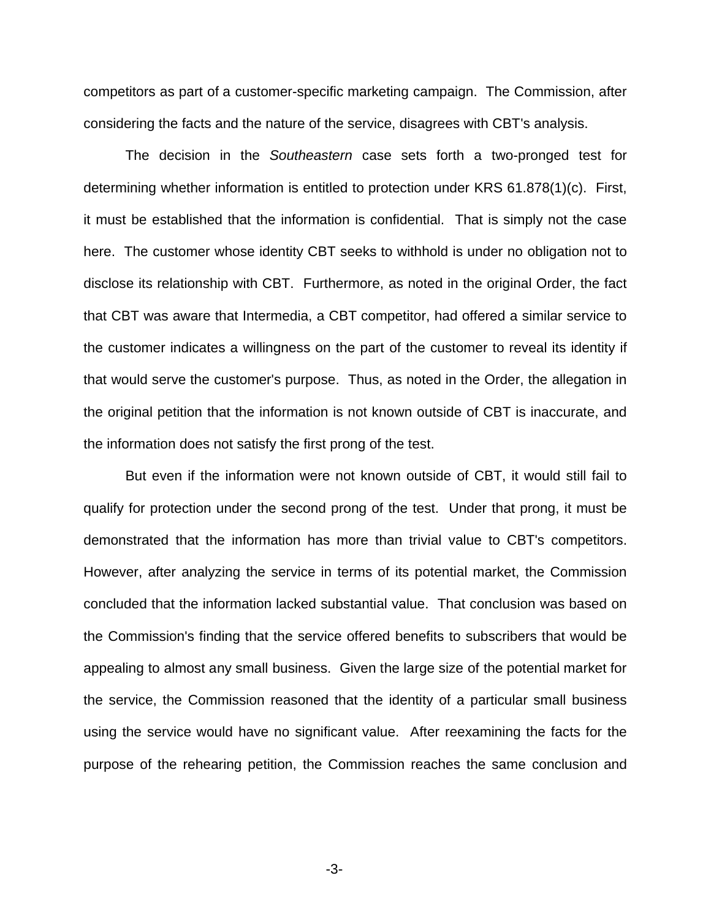competitors as part of a customer-specific marketing campaign. The Commission, after considering the facts and the nature of the service, disagrees with CBT's analysis.

The decision in the *Southeastern* case sets forth a two-pronged test for determining whether information is entitled to protection under KRS 61.878(1)(c). First, it must be established that the information is confidential. That is simply not the case here. The customer whose identity CBT seeks to withhold is under no obligation not to disclose its relationship with CBT. Furthermore, as noted in the original Order, the fact that CBT was aware that Intermedia, a CBT competitor, had offered a similar service to the customer indicates a willingness on the part of the customer to reveal its identity if that would serve the customer's purpose. Thus, as noted in the Order, the allegation in the original petition that the information is not known outside of CBT is inaccurate, and the information does not satisfy the first prong of the test.

But even if the information were not known outside of CBT, it would still fail to qualify for protection under the second prong of the test. Under that prong, it must be demonstrated that the information has more than trivial value to CBT's competitors. However, after analyzing the service in terms of its potential market, the Commission concluded that the information lacked substantial value. That conclusion was based on the Commission's finding that the service offered benefits to subscribers that would be appealing to almost any small business. Given the large size of the potential market for the service, the Commission reasoned that the identity of a particular small business using the service would have no significant value. After reexamining the facts for the purpose of the rehearing petition, the Commission reaches the same conclusion and

-3-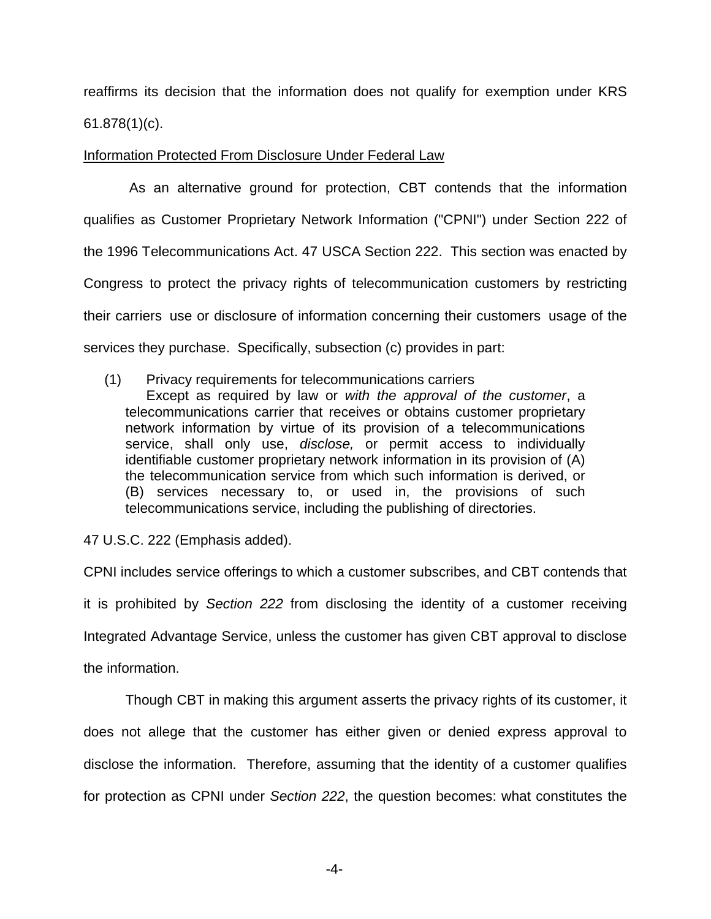reaffirms its decision that the information does not qualify for exemption under KRS 61.878(1)(c).

Information Protected From Disclosure Under Federal Law

As an alternative ground for protection, CBT contends that the information qualifies as Customer Proprietary Network Information ("CPNI") under Section 222 of the 1996 Telecommunications Act. 47 USCA Section 222. This section was enacted by Congress to protect the privacy rights of telecommunication customers by restricting their carriers use or disclosure of information concerning their customers usage of the services they purchase. Specifically, subsection (c) provides in part:

(1) Privacy requirements for telecommunications carriers

Except as required by law or *with the approval of the customer*, a telecommunications carrier that receives or obtains customer proprietary network information by virtue of its provision of a telecommunications service, shall only use, *disclose,* or permit access to individually identifiable customer proprietary network information in its provision of (A) the telecommunication service from which such information is derived, or (B) services necessary to, or used in, the provisions of such telecommunications service, including the publishing of directories.

47 U.S.C. 222 (Emphasis added).

CPNI includes service offerings to which a customer subscribes, and CBT contends that it is prohibited by *Section 222* from disclosing the identity of a customer receiving Integrated Advantage Service, unless the customer has given CBT approval to disclose the information.

Though CBT in making this argument asserts the privacy rights of its customer, it does not allege that the customer has either given or denied express approval to disclose the information. Therefore, assuming that the identity of a customer qualifies for protection as CPNI under *Section 222*, the question becomes: what constitutes the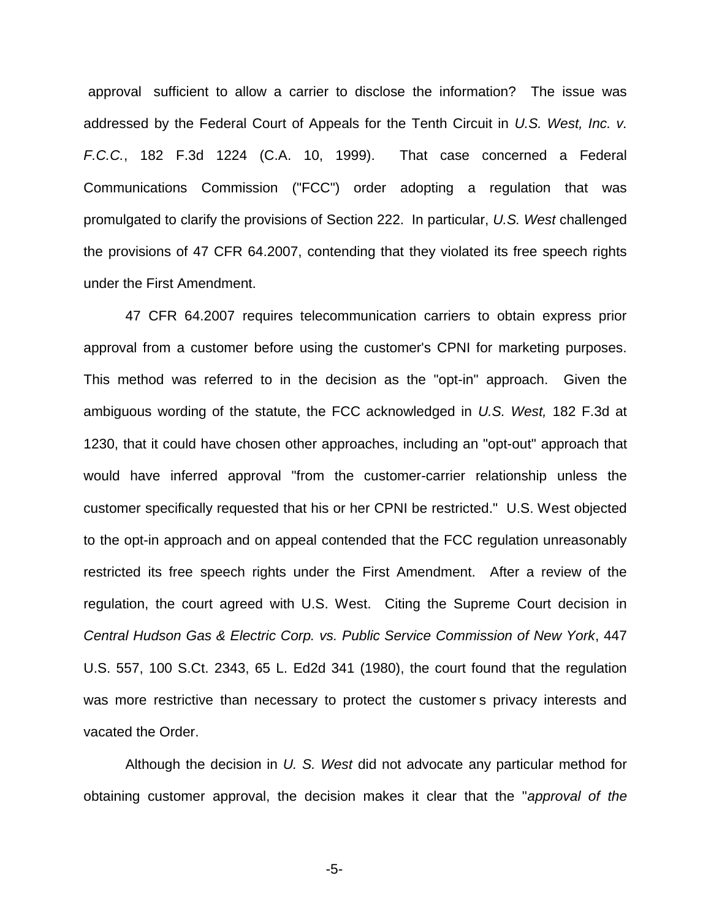approval sufficient to allow a carrier to disclose the information? The issue was addressed by the Federal Court of Appeals for the Tenth Circuit in *U.S. West, Inc. v. F.C.C.*, 182 F.3d 1224 (C.A. 10, 1999). That case concerned a Federal Communications Commission ("FCC") order adopting a regulation that was promulgated to clarify the provisions of Section 222. In particular, *U.S. West* challenged the provisions of 47 CFR 64.2007, contending that they violated its free speech rights under the First Amendment.

47 CFR 64.2007 requires telecommunication carriers to obtain express prior approval from a customer before using the customer's CPNI for marketing purposes. This method was referred to in the decision as the "opt-in" approach. Given the ambiguous wording of the statute, the FCC acknowledged in *U.S. West,* 182 F.3d at 1230, that it could have chosen other approaches, including an "opt-out" approach that would have inferred approval "from the customer-carrier relationship unless the customer specifically requested that his or her CPNI be restricted." U.S. West objected to the opt-in approach and on appeal contended that the FCC regulation unreasonably restricted its free speech rights under the First Amendment. After a review of the regulation, the court agreed with U.S. West. Citing the Supreme Court decision in *Central Hudson Gas & Electric Corp. vs. Public Service Commission of New York*, 447 U.S. 557, 100 S.Ct. 2343, 65 L. Ed2d 341 (1980), the court found that the regulation was more restrictive than necessary to protect the customer s privacy interests and vacated the Order.

Although the decision in *U. S. West* did not advocate any particular method for obtaining customer approval, the decision makes it clear that the "*approval of the* 

-5-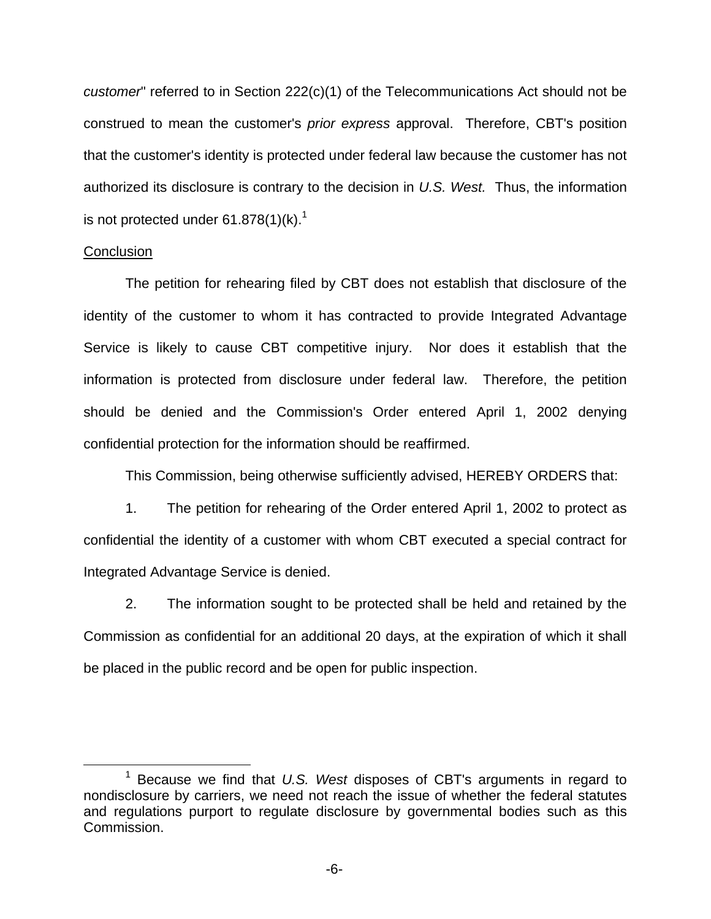*customer*" referred to in Section 222(c)(1) of the Telecommunications Act should not be construed to mean the customer's *prior express* approval. Therefore, CBT's position that the customer's identity is protected under federal law because the customer has not authorized its disclosure is contrary to the decision in *U.S. West.* Thus, the information is not protected under  $61.878(1)(k).$ <sup>1</sup>

### **Conclusion**

The petition for rehearing filed by CBT does not establish that disclosure of the identity of the customer to whom it has contracted to provide Integrated Advantage Service is likely to cause CBT competitive injury. Nor does it establish that the information is protected from disclosure under federal law. Therefore, the petition should be denied and the Commission's Order entered April 1, 2002 denying confidential protection for the information should be reaffirmed.

This Commission, being otherwise sufficiently advised, HEREBY ORDERS that:

1. The petition for rehearing of the Order entered April 1, 2002 to protect as confidential the identity of a customer with whom CBT executed a special contract for Integrated Advantage Service is denied.

2. The information sought to be protected shall be held and retained by the Commission as confidential for an additional 20 days, at the expiration of which it shall be placed in the public record and be open for public inspection.

<sup>1</sup> Because we find that *U.S. West* disposes of CBT's arguments in regard to nondisclosure by carriers, we need not reach the issue of whether the federal statutes and regulations purport to regulate disclosure by governmental bodies such as this Commission.